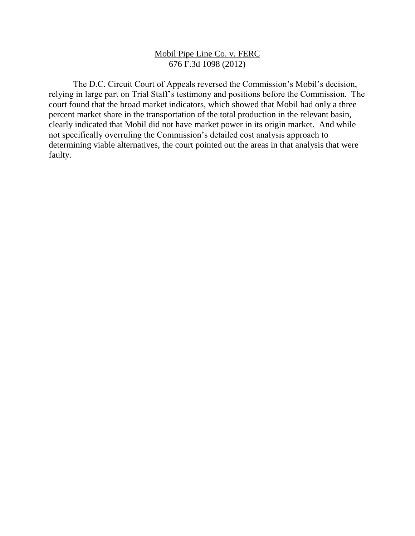## Mobil Pipe Line Co. v. FERC 676 F.3d 1098 (2012)

The D.C. Circuit Court of Appeals reversed the Commission's Mobil's decision, relying in large part on Trial Staff's testimony and positions before the Commission. The court found that the broad market indicators, which showed that Mobil had only a three percent market share in the transportation of the total production in the relevant basin, clearly indicated that Mobil did not have market power in its origin market. And while not specifically overruling the Commission's detailed cost analysis approach to determining viable alternatives, the court pointed out the areas in that analysis that were faulty.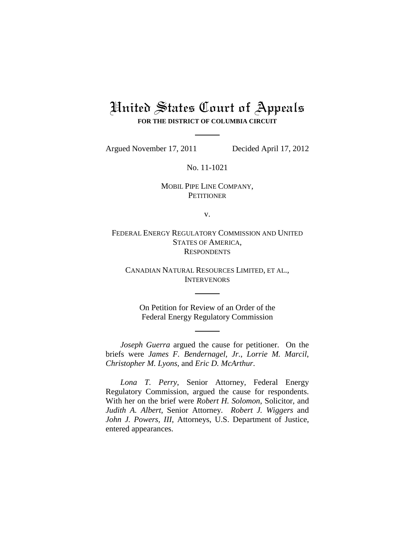# United States Court of Appeals **FOR THE DISTRICT OF COLUMBIA CIRCUIT**

Argued November 17, 2011 Decided April 17, 2012

No. 11-1021

## MOBIL PIPE LINE COMPANY, **PETITIONER**

v.

FEDERAL ENERGY REGULATORY COMMISSION AND UNITED STATES OF AMERICA, **RESPONDENTS** 

CANADIAN NATURAL RESOURCES LIMITED, ET AL., **INTERVENORS** 

On Petition for Review of an Order of the Federal Energy Regulatory Commission

*Joseph Guerra* argued the cause for petitioner. On the briefs were *James F. Bendernagel, Jr.*, *Lorrie M. Marcil*, *Christopher M. Lyons*, and *Eric D. McArthur*.

*Lona T. Perry*, Senior Attorney, Federal Energy Regulatory Commission, argued the cause for respondents. With her on the brief were *Robert H. Solomon*, Solicitor, and *Judith A. Albert*, Senior Attorney. *Robert J. Wiggers* and *John J. Powers, III*, Attorneys, U.S. Department of Justice, entered appearances.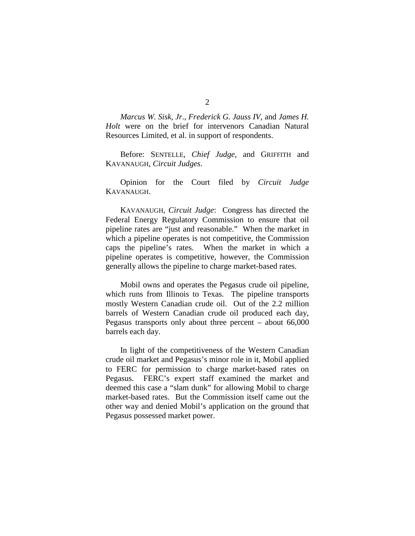*Marcus W. Sisk, Jr*., *Frederick G. Jauss IV*, and *James H. Holt* were on the brief for intervenors Canadian Natural Resources Limited, et al. in support of respondents.

Before: SENTELLE, *Chief Judge*, and GRIFFITH and KAVANAUGH, *Circuit Judges*.

Opinion for the Court filed by *Circuit Judge*  KAVANAUGH.

KAVANAUGH, *Circuit Judge*: Congress has directed the Federal Energy Regulatory Commission to ensure that oil pipeline rates are "just and reasonable." When the market in which a pipeline operates is not competitive, the Commission caps the pipeline's rates. When the market in which a pipeline operates is competitive, however, the Commission generally allows the pipeline to charge market-based rates.

Mobil owns and operates the Pegasus crude oil pipeline, which runs from Illinois to Texas. The pipeline transports mostly Western Canadian crude oil. Out of the 2.2 million barrels of Western Canadian crude oil produced each day, Pegasus transports only about three percent – about 66,000 barrels each day.

In light of the competitiveness of the Western Canadian crude oil market and Pegasus's minor role in it, Mobil applied to FERC for permission to charge market-based rates on Pegasus. FERC's expert staff examined the market and deemed this case a "slam dunk" for allowing Mobil to charge market-based rates.But the Commission itself came out the other way and denied Mobil's application on the ground that Pegasus possessed market power.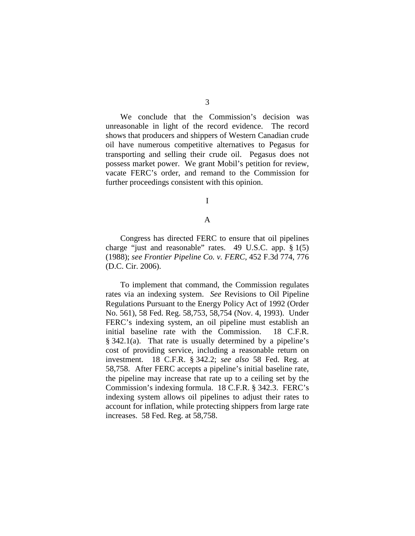3

We conclude that the Commission's decision was unreasonable in light of the record evidence. The record shows that producers and shippers of Western Canadian crude oil have numerous competitive alternatives to Pegasus for transporting and selling their crude oil. Pegasus does not possess market power. We grant Mobil's petition for review, vacate FERC's order, and remand to the Commission for further proceedings consistent with this opinion.

I

### A

Congress has directed FERC to ensure that oil pipelines charge "just and reasonable" rates. 49 U.S.C. app. § 1(5) (1988); *see Frontier Pipeline Co. v. FERC*, 452 F.3d 774, 776 (D.C. Cir. 2006).

To implement that command, the Commission regulates rates via an indexing system. *See* Revisions to Oil Pipeline Regulations Pursuant to the Energy Policy Act of 1992 (Order No. 561), 58 Fed. Reg. 58,753, 58,754 (Nov. 4, 1993). Under FERC's indexing system, an oil pipeline must establish an initial baseline rate with the Commission. 18 C.F.R. § 342.1(a). That rate is usually determined by a pipeline's cost of providing service, including a reasonable return on investment. 18 C.F.R. § 342.2; *see also* 58 Fed. Reg. at 58,758. After FERC accepts a pipeline's initial baseline rate, the pipeline may increase that rate up to a ceiling set by the Commission's indexing formula. 18 C.F.R. § 342.3. FERC's indexing system allows oil pipelines to adjust their rates to account for inflation, while protecting shippers from large rate increases. 58 Fed. Reg. at 58,758.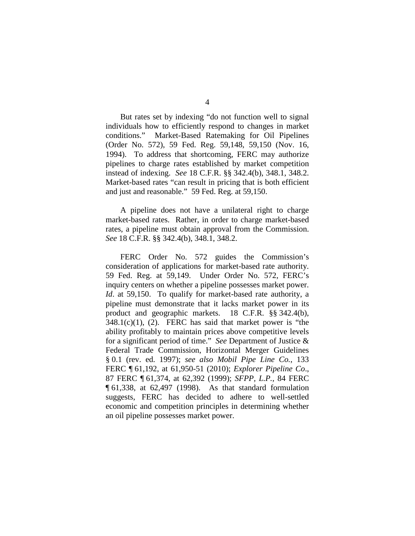But rates set by indexing "do not function well to signal individuals how to efficiently respond to changes in market conditions." Market-Based Ratemaking for Oil Pipelines (Order No. 572), 59 Fed. Reg. 59,148, 59,150 (Nov. 16, 1994). To address that shortcoming, FERC may authorize pipelines to charge rates established by market competition instead of indexing. *See* 18 C.F.R. §§ 342.4(b), 348.1, 348.2. Market-based rates "can result in pricing that is both efficient and just and reasonable." 59 Fed. Reg. at 59,150.

A pipeline does not have a unilateral right to charge market-based rates. Rather, in order to charge market-based rates, a pipeline must obtain approval from the Commission. *See* 18 C.F.R. §§ 342.4(b), 348.1, 348.2.

FERC Order No. 572 guides the Commission's consideration of applications for market-based rate authority. 59 Fed. Reg. at 59,149. Under Order No. 572, FERC's inquiry centers on whether a pipeline possesses market power. *Id.* at 59,150. To qualify for market-based rate authority, a pipeline must demonstrate that it lacks market power in its product and geographic markets. 18 C.F.R. §§ 342.4(b),  $348.1(c)(1)$ , (2). FERC has said that market power is "the ability profitably to maintain prices above competitive levels for a significant period of time." *See* Department of Justice & Federal Trade Commission, Horizontal Merger Guidelines § 0.1 (rev. ed. 1997); *see also Mobil Pipe Line Co.*, 133 FERC ¶ 61,192, at 61,950-51 (2010); *Explorer Pipeline Co*., 87 FERC ¶ 61,374, at 62,392 (1999); *SFPP, L.P.*, 84 FERC ¶ 61,338, at 62,497 (1998). As that standard formulation suggests, FERC has decided to adhere to well-settled economic and competition principles in determining whether an oil pipeline possesses market power.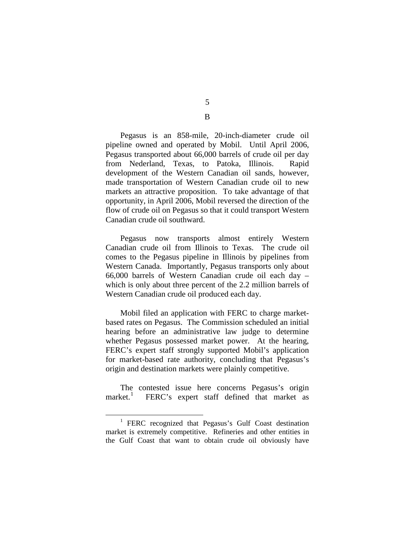Pegasus is an 858-mile, 20-inch-diameter crude oil pipeline owned and operated by Mobil. Until April 2006, Pegasus transported about 66,000 barrels of crude oil per day from Nederland, Texas, to Patoka, Illinois. Rapid development of the Western Canadian oil sands, however, made transportation of Western Canadian crude oil to new markets an attractive proposition. To take advantage of that opportunity, in April 2006, Mobil reversed the direction of the flow of crude oil on Pegasus so that it could transport Western Canadian crude oil southward.

Pegasus now transports almost entirely Western Canadian crude oil from Illinois to Texas. The crude oil comes to the Pegasus pipeline in Illinois by pipelines from Western Canada. Importantly, Pegasus transports only about 66,000 barrels of Western Canadian crude oil each day – which is only about three percent of the 2.2 million barrels of Western Canadian crude oil produced each day.

Mobil filed an application with FERC to charge marketbased rates on Pegasus. The Commission scheduled an initial hearing before an administrative law judge to determine whether Pegasus possessed market power. At the hearing, FERC's expert staff strongly supported Mobil's application for market-based rate authority, concluding that Pegasus's origin and destination markets were plainly competitive.

The contested issue here concerns Pegasus's origin market.<sup>[1](#page-5-0)</sup> FERC's expert staff defined that market as

5 B

<span id="page-5-0"></span><sup>&</sup>lt;sup>1</sup> FERC recognized that Pegasus's Gulf Coast destination market is extremely competitive. Refineries and other entities in the Gulf Coast that want to obtain crude oil obviously have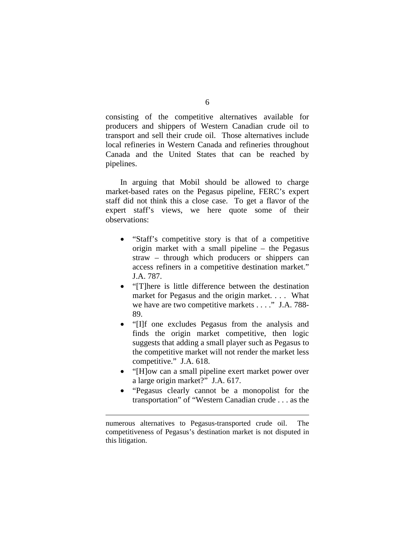consisting of the competitive alternatives available for producers and shippers of Western Canadian crude oil to transport and sell their crude oil. Those alternatives include local refineries in Western Canada and refineries throughout Canada and the United States that can be reached by pipelines.

In arguing that Mobil should be allowed to charge market-based rates on the Pegasus pipeline, FERC's expert staff did not think this a close case. To get a flavor of the expert staff's views, we here quote some of their observations:

- "Staff's competitive story is that of a competitive origin market with a small pipeline – the Pegasus straw – through which producers or shippers can access refiners in a competitive destination market." J.A. 787.
- "[T]here is little difference between the destination market for Pegasus and the origin market. . . . What we have are two competitive markets . . . ." J.A. 788- 89.
- "[I]f one excludes Pegasus from the analysis and finds the origin market competitive, then logic suggests that adding a small player such as Pegasus to the competitive market will not render the market less competitive." J.A. 618.
- "[H]ow can a small pipeline exert market power over a large origin market?" J.A. 617.
- "Pegasus clearly cannot be a monopolist for the transportation" of "Western Canadian crude . . . as the

 $\overline{a}$ 

numerous alternatives to Pegasus-transported crude oil. The competitiveness of Pegasus's destination market is not disputed in this litigation.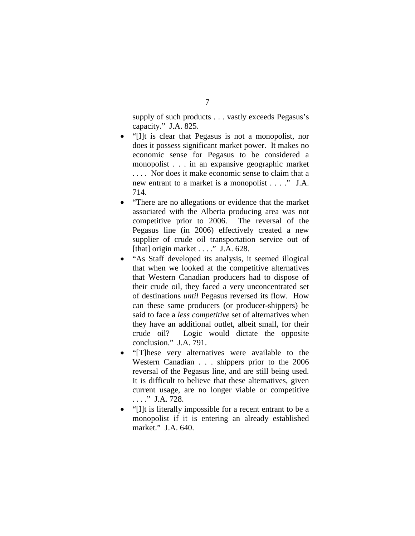supply of such products . . . vastly exceeds Pegasus's capacity." J.A. 825.

- "[I]t is clear that Pegasus is not a monopolist, nor does it possess significant market power. It makes no economic sense for Pegasus to be considered a monopolist . . . in an expansive geographic market . . . . Nor does it make economic sense to claim that a new entrant to a market is a monopolist . . . ." J.A. 714.
- "There are no allegations or evidence that the market associated with the Alberta producing area was not competitive prior to 2006. The reversal of the Pegasus line (in 2006) effectively created a new supplier of crude oil transportation service out of [that] origin market . . . ." J.A. 628.
- "As Staff developed its analysis, it seemed illogical that when we looked at the competitive alternatives that Western Canadian producers had to dispose of their crude oil, they faced a very unconcentrated set of destinations *until* Pegasus reversed its flow. How can these same producers (or producer-shippers) be said to face a *less competitive* set of alternatives when they have an additional outlet, albeit small, for their crude oil? Logic would dictate the opposite conclusion." J.A. 791.
- "[T]hese very alternatives were available to the Western Canadian . . . shippers prior to the 2006 reversal of the Pegasus line, and are still being used. It is difficult to believe that these alternatives, given current usage, are no longer viable or competitive . . . ." J.A. 728.
- "[I]t is literally impossible for a recent entrant to be a monopolist if it is entering an already established market." J.A. 640.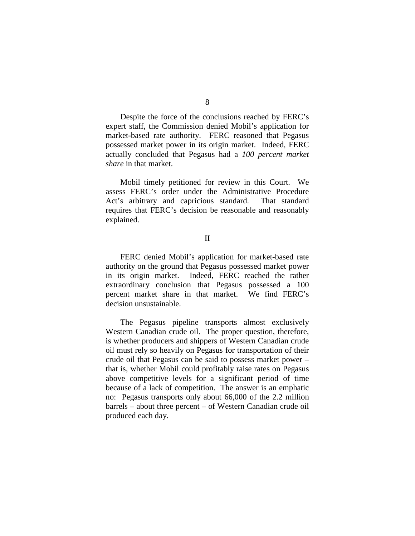Despite the force of the conclusions reached by FERC's expert staff, the Commission denied Mobil's application for market-based rate authority. FERC reasoned that Pegasus possessed market power in its origin market. Indeed, FERC actually concluded that Pegasus had a *100 percent market share* in that market.

Mobil timely petitioned for review in this Court. We assess FERC's order under the Administrative Procedure Act's arbitrary and capricious standard. That standard requires that FERC's decision be reasonable and reasonably explained.

#### II

FERC denied Mobil's application for market-based rate authority on the ground that Pegasus possessed market power in its origin market. Indeed, FERC reached the rather extraordinary conclusion that Pegasus possessed a 100 percent market share in that market. We find FERC's decision unsustainable.

The Pegasus pipeline transports almost exclusively Western Canadian crude oil. The proper question, therefore, is whether producers and shippers of Western Canadian crude oil must rely so heavily on Pegasus for transportation of their crude oil that Pegasus can be said to possess market power – that is, whether Mobil could profitably raise rates on Pegasus above competitive levels for a significant period of time because of a lack of competition. The answer is an emphatic no: Pegasus transports only about 66,000 of the 2.2 million barrels – about three percent – of Western Canadian crude oil produced each day.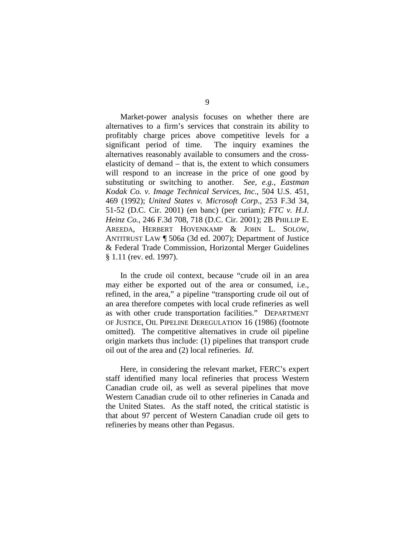Market-power analysis focuses on whether there are alternatives to a firm's services that constrain its ability to profitably charge prices above competitive levels for a significant period of time. The inquiry examines the alternatives reasonably available to consumers and the crosselasticity of demand – that is, the extent to which consumers will respond to an increase in the price of one good by substituting or switching to another. *See, e.g.*, *Eastman Kodak Co. v. Image Technical Services, Inc.*, 504 U.S. 451, 469 (1992); *United States v. Microsoft Corp.*, 253 F.3d 34, 51-52 (D.C. Cir. 2001) (en banc) (per curiam); *FTC v. H.J. Heinz Co.*, 246 F.3d 708, 718 (D.C. Cir. 2001); 2B PHILLIP E. AREEDA, HERBERT HOVENKAMP & JOHN L. SOLOW, ANTITRUST LAW ¶ 506a (3d ed. 2007); Department of Justice & Federal Trade Commission, Horizontal Merger Guidelines § 1.11 (rev. ed. 1997).

In the crude oil context, because "crude oil in an area may either be exported out of the area or consumed, i.e., refined, in the area," a pipeline "transporting crude oil out of an area therefore competes with local crude refineries as well as with other crude transportation facilities." DEPARTMENT OF JUSTICE, OIL PIPELINE DEREGULATION 16 (1986) (footnote omitted). The competitive alternatives in crude oil pipeline origin markets thus include: (1) pipelines that transport crude oil out of the area and (2) local refineries. *Id*.

Here, in considering the relevant market, FERC's expert staff identified many local refineries that process Western Canadian crude oil, as well as several pipelines that move Western Canadian crude oil to other refineries in Canada and the United States. As the staff noted, the critical statistic is that about 97 percent of Western Canadian crude oil gets to refineries by means other than Pegasus.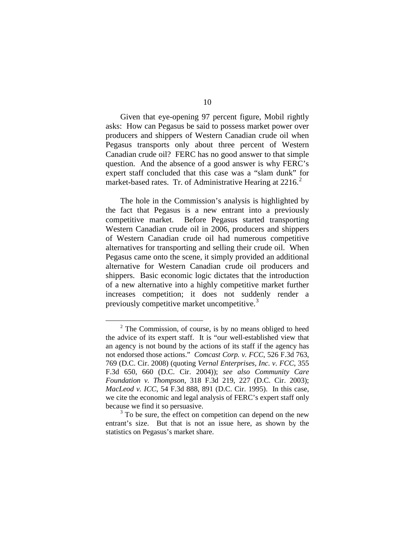Given that eye-opening 97 percent figure, Mobil rightly asks: How can Pegasus be said to possess market power over producers and shippers of Western Canadian crude oil when Pegasus transports only about three percent of Western Canadian crude oil? FERC has no good answer to that simple question. And the absence of a good answer is why FERC's expert staff concluded that this case was a "slam dunk" for market-based rates. Tr. of Administrative Hearing at [2](#page-10-0)216.<sup>2</sup>

The hole in the Commission's analysis is highlighted by the fact that Pegasus is a new entrant into a previously competitive market. Before Pegasus started transporting Western Canadian crude oil in 2006, producers and shippers of Western Canadian crude oil had numerous competitive alternatives for transporting and selling their crude oil. When Pegasus came onto the scene, it simply provided an additional alternative for Western Canadian crude oil producers and shippers. Basic economic logic dictates that the introduction of a new alternative into a highly competitive market further increases competition; it does not suddenly render a previously competitive market uncompetitive.<sup>[3](#page-10-1)</sup>

<span id="page-10-0"></span> $2$  The Commission, of course, is by no means obliged to heed the advice of its expert staff. It is "our well-established view that an agency is not bound by the actions of its staff if the agency has not endorsed those actions." *Comcast Corp. v. FCC*, 526 F.3d 763, 769 (D.C. Cir. 2008) (quoting *Vernal Enterprises, Inc. v. FCC*, 355 F.3d 650, 660 (D.C. Cir. 2004)); *see also Community Care Foundation v. Thompson*, 318 F.3d 219, 227 (D.C. Cir. 2003); *MacLeod v. ICC*, 54 F.3d 888, 891 (D.C. Cir. 1995). In this case, we cite the economic and legal analysis of FERC's expert staff only because we find it so persuasive.

<span id="page-10-1"></span><sup>&</sup>lt;sup>3</sup> To be sure, the effect on competition can depend on the new entrant's size. But that is not an issue here, as shown by the statistics on Pegasus's market share.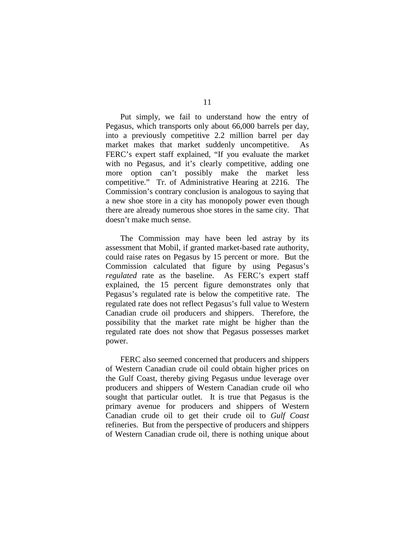Put simply, we fail to understand how the entry of Pegasus, which transports only about 66,000 barrels per day, into a previously competitive 2.2 million barrel per day market makes that market suddenly uncompetitive. As FERC's expert staff explained, "If you evaluate the market with no Pegasus, and it's clearly competitive, adding one more option can't possibly make the market less competitive." Tr. of Administrative Hearing at 2216. The Commission's contrary conclusion is analogous to saying that a new shoe store in a city has monopoly power even though there are already numerous shoe stores in the same city. That doesn't make much sense.

The Commission may have been led astray by its assessment that Mobil, if granted market-based rate authority, could raise rates on Pegasus by 15 percent or more. But the Commission calculated that figure by using Pegasus's *regulated* rate as the baseline. As FERC's expert staff explained, the 15 percent figure demonstrates only that Pegasus's regulated rate is below the competitive rate. The regulated rate does not reflect Pegasus's full value to Western Canadian crude oil producers and shippers. Therefore, the possibility that the market rate might be higher than the regulated rate does not show that Pegasus possesses market power.

FERC also seemed concerned that producers and shippers of Western Canadian crude oil could obtain higher prices on the Gulf Coast, thereby giving Pegasus undue leverage over producers and shippers of Western Canadian crude oil who sought that particular outlet. It is true that Pegasus is the primary avenue for producers and shippers of Western Canadian crude oil to get their crude oil to *Gulf Coast* refineries. But from the perspective of producers and shippers of Western Canadian crude oil, there is nothing unique about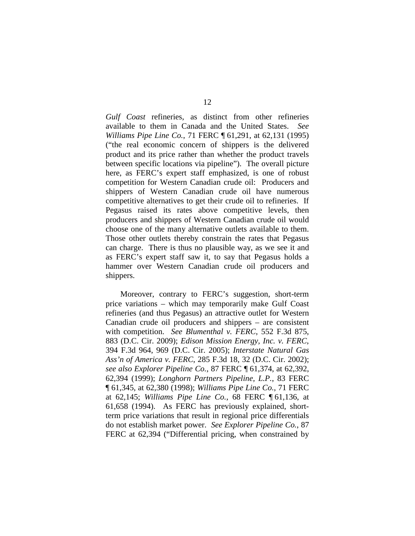*Gulf Coast* refineries, as distinct from other refineries available to them in Canada and the United States. *See Williams Pipe Line Co.*, 71 FERC ¶ 61,291, at 62,131 (1995) ("the real economic concern of shippers is the delivered product and its price rather than whether the product travels between specific locations via pipeline"). The overall picture here, as FERC's expert staff emphasized, is one of robust competition for Western Canadian crude oil: Producers and shippers of Western Canadian crude oil have numerous competitive alternatives to get their crude oil to refineries. If Pegasus raised its rates above competitive levels, then producers and shippers of Western Canadian crude oil would choose one of the many alternative outlets available to them. Those other outlets thereby constrain the rates that Pegasus can charge. There is thus no plausible way, as we see it and as FERC's expert staff saw it, to say that Pegasus holds a hammer over Western Canadian crude oil producers and shippers.

Moreover, contrary to FERC's suggestion, short-term price variations – which may temporarily make Gulf Coast refineries (and thus Pegasus) an attractive outlet for Western Canadian crude oil producers and shippers – are consistent with competition. *See Blumenthal v. FERC*, 552 F.3d 875, 883 (D.C. Cir. 2009); *Edison Mission Energy, Inc. v. FERC*, 394 F.3d 964, 969 (D.C. Cir. 2005); *Interstate Natural Gas Ass'n of America v. FERC*, 285 F.3d 18, 32 (D.C. Cir. 2002); *see also Explorer Pipeline Co.*, 87 FERC ¶ 61,374, at 62,392, 62,394 (1999); *Longhorn Partners Pipeline, L.P.*, 83 FERC ¶ 61,345, at 62,380 (1998); *Williams Pipe Line Co.*, 71 FERC at 62,145; *Williams Pipe Line Co.*, 68 FERC ¶ 61,136, at 61,658 (1994). As FERC has previously explained, shortterm price variations that result in regional price differentials do not establish market power. *See Explorer Pipeline Co.*, 87 FERC at 62,394 ("Differential pricing, when constrained by